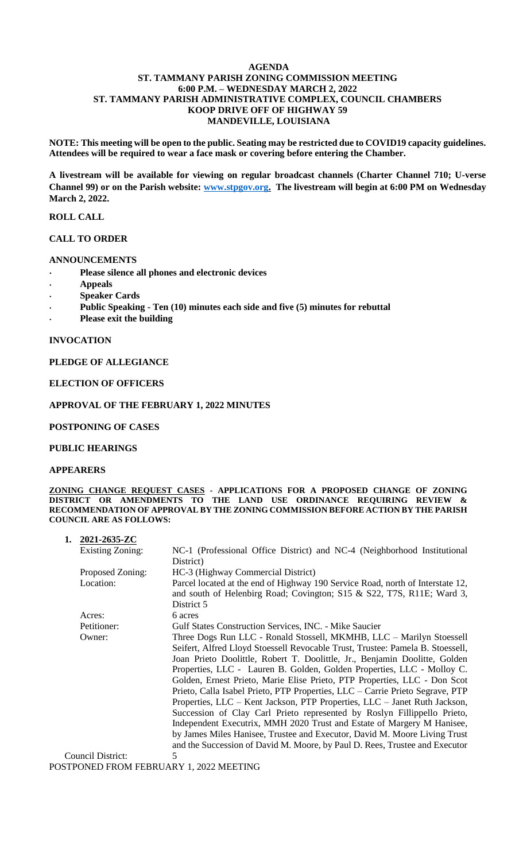## **AGENDA ST. TAMMANY PARISH ZONING COMMISSION MEETING 6:00 P.M. – WEDNESDAY MARCH 2, 2022 ST. TAMMANY PARISH ADMINISTRATIVE COMPLEX, COUNCIL CHAMBERS KOOP DRIVE OFF OF HIGHWAY 59 MANDEVILLE, LOUISIANA**

**NOTE: This meeting will be open to the public. Seating may be restricted due to COVID19 capacity guidelines. Attendees will be required to wear a face mask or covering before entering the Chamber.** 

**A livestream will be available for viewing on regular broadcast channels (Charter Channel 710; U-verse Channel 99) or on the Parish website: [www.stpgov.org.](http://www.stpgov.org/) The livestream will begin at 6:00 PM on Wednesday March 2, 2022.**

## **ROLL CALL**

## **CALL TO ORDER**

## **ANNOUNCEMENTS**

- **Please silence all phones and electronic devices**
- **Appeals**
- **Speaker Cards**
- **Public Speaking - Ten (10) minutes each side and five (5) minutes for rebuttal**
- **Please exit the building**

#### **INVOCATION**

## **PLEDGE OF ALLEGIANCE**

## **ELECTION OF OFFICERS**

#### **APPROVAL OF THE FEBRUARY 1, 2022 MINUTES**

## **POSTPONING OF CASES**

#### **PUBLIC HEARINGS**

#### **APPEARERS**

**ZONING CHANGE REQUEST CASES - APPLICATIONS FOR A PROPOSED CHANGE OF ZONING DISTRICT OR AMENDMENTS TO THE LAND USE ORDINANCE REQUIRING REVIEW & RECOMMENDATION OF APPROVAL BY THE ZONING COMMISSION BEFORE ACTION BY THE PARISH COUNCIL ARE AS FOLLOWS:**

| 1.                                      | 2021-2635-ZC            |                                                                                                                                                                       |  |  |  |
|-----------------------------------------|-------------------------|-----------------------------------------------------------------------------------------------------------------------------------------------------------------------|--|--|--|
|                                         | <b>Existing Zoning:</b> | NC-1 (Professional Office District) and NC-4 (Neighborhood Institutional                                                                                              |  |  |  |
|                                         |                         | District)                                                                                                                                                             |  |  |  |
|                                         | Proposed Zoning:        | HC-3 (Highway Commercial District)                                                                                                                                    |  |  |  |
|                                         | Location:               | Parcel located at the end of Highway 190 Service Road, north of Interstate 12,<br>and south of Helenbirg Road; Covington; S15 & S22, T7S, R11E; Ward 3,<br>District 5 |  |  |  |
|                                         | Acres:                  | 6 acres                                                                                                                                                               |  |  |  |
|                                         | Petitioner:             | <b>Gulf States Construction Services, INC. - Mike Saucier</b>                                                                                                         |  |  |  |
|                                         | Owner:                  | Three Dogs Run LLC - Ronald Stossell, MKMHB, LLC - Marilyn Stoessell                                                                                                  |  |  |  |
|                                         |                         | Seifert, Alfred Lloyd Stoessell Revocable Trust, Trustee: Pamela B. Stoessell,                                                                                        |  |  |  |
|                                         |                         | Joan Prieto Doolittle, Robert T. Doolittle, Jr., Benjamin Doolitte, Golden                                                                                            |  |  |  |
|                                         |                         | Properties, LLC - Lauren B. Golden, Golden Properties, LLC - Molloy C.                                                                                                |  |  |  |
|                                         |                         | Golden, Ernest Prieto, Marie Elise Prieto, PTP Properties, LLC - Don Scot                                                                                             |  |  |  |
|                                         |                         | Prieto, Calla Isabel Prieto, PTP Properties, LLC - Carrie Prieto Segrave, PTP                                                                                         |  |  |  |
|                                         |                         | Properties, LLC – Kent Jackson, PTP Properties, LLC – Janet Ruth Jackson,                                                                                             |  |  |  |
|                                         |                         | Succession of Clay Carl Prieto represented by Roslyn Fillippello Prieto,                                                                                              |  |  |  |
|                                         |                         | Independent Executrix, MMH 2020 Trust and Estate of Margery M Hanisee,                                                                                                |  |  |  |
|                                         |                         | by James Miles Hanisee, Trustee and Executor, David M. Moore Living Trust                                                                                             |  |  |  |
|                                         |                         | and the Succession of David M. Moore, by Paul D. Rees, Trustee and Executor                                                                                           |  |  |  |
|                                         | Council District:       | 5                                                                                                                                                                     |  |  |  |
| POSTPONED FROM FEBRUARY 1, 2022 MEETING |                         |                                                                                                                                                                       |  |  |  |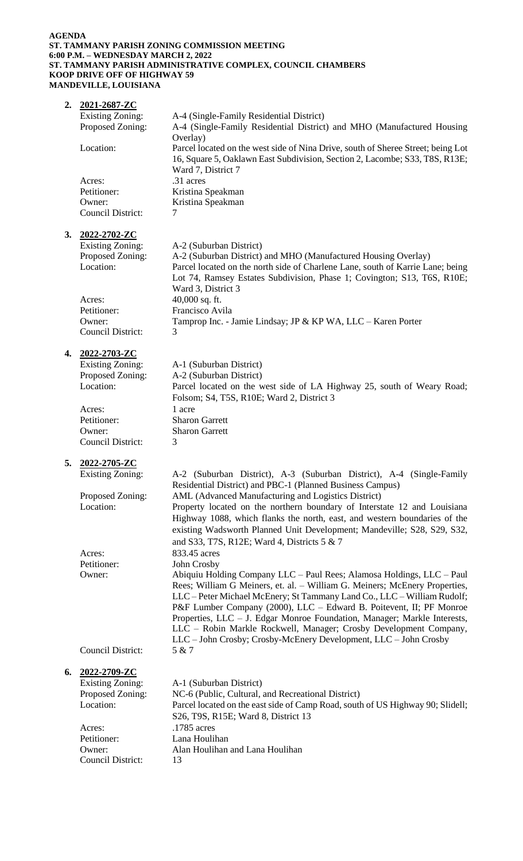#### **AGENDA ST. TAMMANY PARISH ZONING COMMISSION MEETING 6:00 P.M. – WEDNESDAY MARCH 2, 2022 ST. TAMMANY PARISH ADMINISTRATIVE COMPLEX, COUNCIL CHAMBERS KOOP DRIVE OFF OF HIGHWAY 59 MANDEVILLE, LOUISIANA**

| 2. | 2021-2687-ZC                                   |                                                                                                                                                                                       |
|----|------------------------------------------------|---------------------------------------------------------------------------------------------------------------------------------------------------------------------------------------|
|    | <b>Existing Zoning:</b><br>Proposed Zoning:    | A-4 (Single-Family Residential District)<br>A-4 (Single-Family Residential District) and MHO (Manufactured Housing                                                                    |
|    |                                                | Overlay)                                                                                                                                                                              |
|    | Location:                                      | Parcel located on the west side of Nina Drive, south of Sheree Street; being Lot<br>16, Square 5, Oaklawn East Subdivision, Section 2, Lacombe; S33, T8S, R13E;<br>Ward 7, District 7 |
|    | Acres:                                         | .31 acres                                                                                                                                                                             |
|    | Petitioner:                                    | Kristina Speakman                                                                                                                                                                     |
|    | Owner:                                         | Kristina Speakman                                                                                                                                                                     |
|    | <b>Council District:</b>                       | 7                                                                                                                                                                                     |
| 3. | 2022-2702-ZC                                   |                                                                                                                                                                                       |
|    | <b>Existing Zoning:</b>                        | A-2 (Suburban District)                                                                                                                                                               |
|    | Proposed Zoning:                               | A-2 (Suburban District) and MHO (Manufactured Housing Overlay)                                                                                                                        |
|    | Location:                                      | Parcel located on the north side of Charlene Lane, south of Karrie Lane; being                                                                                                        |
|    |                                                | Lot 74, Ramsey Estates Subdivision, Phase 1; Covington; S13, T6S, R10E;<br>Ward 3, District 3                                                                                         |
|    | Acres:                                         | 40,000 sq. ft.                                                                                                                                                                        |
|    | Petitioner:                                    | Francisco Avila                                                                                                                                                                       |
|    | Owner:                                         | Tamprop Inc. - Jamie Lindsay; JP & KP WA, LLC – Karen Porter                                                                                                                          |
|    | <b>Council District:</b>                       | 3                                                                                                                                                                                     |
| 4. | 2022-2703-ZC                                   |                                                                                                                                                                                       |
|    | <b>Existing Zoning:</b>                        | A-1 (Suburban District)                                                                                                                                                               |
|    | Proposed Zoning:                               | A-2 (Suburban District)                                                                                                                                                               |
|    | Location:                                      | Parcel located on the west side of LA Highway 25, south of Weary Road;                                                                                                                |
|    |                                                | Folsom; S4, T5S, R10E; Ward 2, District 3<br>1 acre                                                                                                                                   |
|    | Acres:<br>Petitioner:                          | <b>Sharon Garrett</b>                                                                                                                                                                 |
|    | Owner:                                         | <b>Sharon Garrett</b>                                                                                                                                                                 |
|    | <b>Council District:</b>                       | 3                                                                                                                                                                                     |
|    |                                                |                                                                                                                                                                                       |
| 5. | <u>2022-2705-ZC</u><br><b>Existing Zoning:</b> | A-2 (Suburban District), A-3 (Suburban District), A-4 (Single-Family                                                                                                                  |
|    |                                                | Residential District) and PBC-1 (Planned Business Campus)                                                                                                                             |
|    | Proposed Zoning:                               | AML (Advanced Manufacturing and Logistics District)                                                                                                                                   |
|    | Location:                                      | Property located on the northern boundary of Interstate 12 and Louisiana                                                                                                              |
|    |                                                | Highway 1088, which flanks the north, east, and western boundaries of the                                                                                                             |
|    |                                                | existing Wadsworth Planned Unit Development; Mandeville; S28, S29, S32,<br>and S33, T7S, R12E; Ward 4, Districts 5 & 7                                                                |
|    | Acres:                                         | 833.45 acres                                                                                                                                                                          |
|    | Petitioner:                                    | John Crosby                                                                                                                                                                           |
|    | Owner:                                         | Abiquiu Holding Company LLC - Paul Rees; Alamosa Holdings, LLC - Paul                                                                                                                 |
|    |                                                | Rees; William G Meiners, et. al. - William G. Meiners; McEnery Properties,                                                                                                            |
|    |                                                | LLC - Peter Michael McEnery; St Tammany Land Co., LLC - William Rudolf;<br>P&F Lumber Company (2000), LLC - Edward B. Poitevent, II; PF Monroe                                        |
|    |                                                | Properties, LLC - J. Edgar Monroe Foundation, Manager; Markle Interests,                                                                                                              |
|    |                                                | LLC - Robin Markle Rockwell, Manager; Crosby Development Company,                                                                                                                     |
|    |                                                | LLC - John Crosby; Crosby-McEnery Development, LLC - John Crosby                                                                                                                      |
|    | <b>Council District:</b>                       | 5 & 7                                                                                                                                                                                 |
| 6. | 2022-2709-ZC                                   |                                                                                                                                                                                       |
|    | <b>Existing Zoning:</b>                        | A-1 (Suburban District)                                                                                                                                                               |
|    | Proposed Zoning:                               | NC-6 (Public, Cultural, and Recreational District)                                                                                                                                    |
|    |                                                |                                                                                                                                                                                       |
|    | Location:                                      | Parcel located on the east side of Camp Road, south of US Highway 90; Slidell;                                                                                                        |
|    |                                                | S26, T9S, R15E; Ward 8, District 13                                                                                                                                                   |
|    | Acres:                                         | .1785 acres                                                                                                                                                                           |
|    | Petitioner:<br>Owner:                          | Lana Houlihan<br>Alan Houlihan and Lana Houlihan                                                                                                                                      |